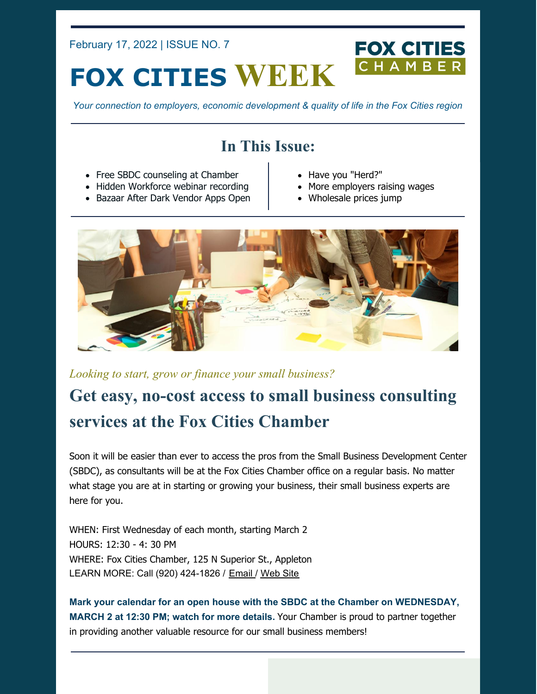February 17, 2022 | ISSUE NO. 7

# **FOX CITIES WEEK**

*Your connection to employers, economic development & quality of life in the Fox Cities region*

# **In This Issue:**

- Free SBDC counseling at Chamber
- Hidden Workforce webinar recording
- Bazaar After Dark Vendor Apps Open
- Have you "Herd?"
- More employers raising wages

**FOX CITIES** 

Wholesale prices jump



*Looking to start, grow or finance your small business?*

# **Get easy, no-cost access to small business consulting services at the Fox Cities Chamber**

Soon it will be easier than ever to access the pros from the Small Business Development Center (SBDC), as consultants will be at the Fox Cities Chamber office on a regular basis. No matter what stage you are at in starting or growing your business, their small business experts are here for you.

WHEN: First Wednesday of each month, starting March 2 HOURS: 12:30 - 4: 30 PM WHERE: Fox Cities Chamber, 125 N Superior St., Appleton LEARN MORE: Call (920) 424-1826 / [Email](mailto:SBDC@UWosh.edu) / [Web](https://wisconsinsbdc.org/centers/oshkosh/) Site

**Mark your calendar for an open house with the SBDC at the Chamber on WEDNESDAY, MARCH 2 at 12:30 PM; watch for more details.** Your Chamber is proud to partner together in providing another valuable resource for our small business members!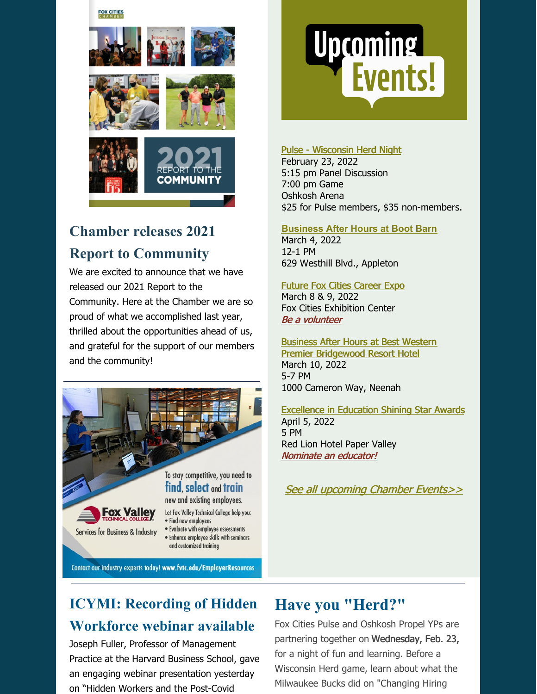#### **FOX CITIES**



# **Chamber releases 2021 Report to Community**

We are excited to announce that we have released our 2021 Report to the Community. Here at the Chamber we are so proud of what we accomplished last year, thrilled about the opportunities ahead of us, and grateful for the support of our members and the community!



#### Contact our industry experts today! www.fvtc.edu/EmployerResources

# **Upcoming<br>Events!**

#### Pulse - [Wisconsin](https://business.foxcitieschamber.com/events/details/pulse-wisconsin-herd-night-17447) Herd Night

February 23, 2022 5:15 pm Panel Discussion 7:00 pm Game Oshkosh Arena [\\$](https://business.foxcitieschamber.com/events/details/ribbon-cutting-boot-barn-17460)25 for Pulse members, \$35 non-members.

#### **[Business](https://business.foxcitieschamber.com/events/details/ribbon-cutting-boot-barn-17460) After Hours at Boot Barn**

March 4, 2022 12-1 PM 629 Westhill Blvd., Appleton

#### Future Fox Cities [Career](https://foxcitieschamber.com/talent/future-fox-cities-fox-cities-chamber/) Expo

March 8 & 9, 2022 Fox Cities Exhibition Center Be a [volunteer](https://form.jotform.com/212994739819172)

#### Business After Hours at Best Western Premier [Bridgewood](https://business.foxcitieschamber.com/events/details/2022-business-after-hours-march-17448) Resort Hotel

March 10, 2022 5-7 PM 1000 Cameron Way, Neenah

#### [Excellence](https://foxcitieschamber.com/talent/excellence-in-education-awards-fox-cities-chamber/) in Education Shining Star Awards April 5, 2022 5 PM Red Lion Hotel Paper Valley [Nominate](https://form.jotform.com/213205214034135) an educator!

See all [upcoming](https://business.foxcitieschamber.com/events/catgid/6) Chamber Events>>

# **ICYMI: Recording of Hidden Workforce webinar available**

Joseph Fuller, Professor of Management Practice at the Harvard Business School, gave an engaging webinar presentation yesterday on "Hidden Workers and the Post-Covid

#### **Have you "Herd?"**

Fox Cities Pulse and Oshkosh Propel YPs are partnering together on Wednesday, Feb. 23, for a night of fun and learning. Before a Wisconsin Herd game, learn about what the Milwaukee Bucks did on "Changing Hiring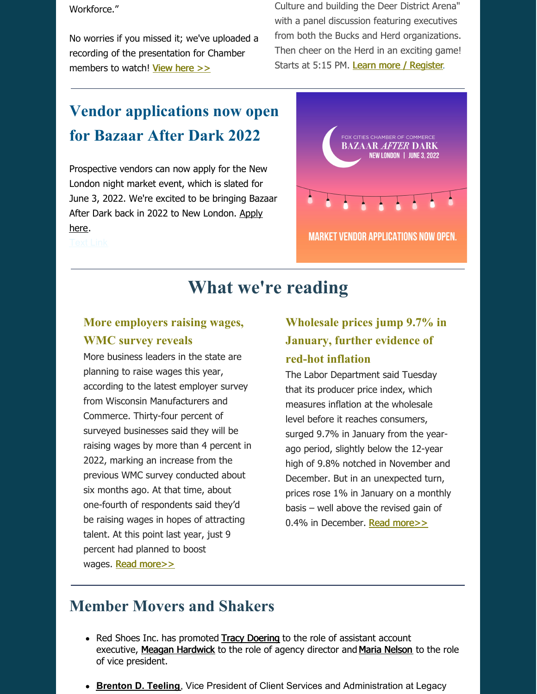Workforce."

No worries if you missed it; we've uploaded a recording of the presentation for Chamber members to watch! [View](https://youtu.be/kQf9SihtCe4) here >>

Culture and building the Deer District Arena" with a panel discussion featuring executives from both the Bucks and Herd organizations. Then cheer on the Herd in an exciting game! Starts at 5:15 PM. Learn more / [Register](https://business.foxcitieschamber.com/events/details/pulse-wisconsin-herd-night-17447).

# **Vendor applications now open for Bazaar After Dark 2022**

Prospective vendors can now apply for the New London night market event, which is slated for June 3, 2022. We're excited to be bringing Bazaar After Dark back in 2022 to New [London.](https://form.jotform.com/212796751239162) Apply here.



**What we're reading**

#### **More employers raising wages, WMC survey reveals**

More business leaders in the state are planning to raise wages this year, according to the latest employer survey from Wisconsin Manufacturers and Commerce. Thirty-four percent of surveyed businesses said they will be raising wages by more than 4 percent in 2022, marking an increase from the previous WMC survey conducted about six months ago. At that time, about one-fourth of respondents said they'd be raising wages in hopes of attracting talent. At this point last year, just 9 percent had planned to boost wages. **Read [more>>](https://www.wisbusiness.com/2022/more-business-leaders-raising-wages-wmc-survey-reveals/)** 

#### **Wholesale prices jump 9.7% in January, further evidence of red-hot inflation**

The Labor Department said Tuesday that its producer price index, which measures inflation at the wholesale level before it reaches consumers, surged 9.7% in January from the yearago period, slightly below the 12-year high of 9.8% notched in November and December. But in an unexpected turn, prices rose 1% in January on a monthly basis – well above the revised gain of 0.4% in December. Read [more>>](https://www.foxbusiness.com/economy/producer-prices-inflation-january-2022)

# **Member Movers and Shakers**

- Red [Shoes](https://u7061146.ct.sendgrid.net/ls/click?upn=TeZUXWpUv-2B6TCY38pVLo9qf6JBaiXyLlijS2ckDo-2FVlWpxFwB4oYDlp3pmZM1xUmbAv1_surlT6tjxMO4sUs3XBofmFHW1MdZOIq3Rl9N-2BFvMZoKJQIi-2FJOPCRAOtQ8s5qVRwsabB4sOJlbyysrV-2FxDVWIO7-2FjxmDEDtzs8qRmEwOFqWMv-2BMYPSKv1yiDcidjQPxf4AjZAl2DaWCCENf-2BUGC7QptmQd7EIuCGW5Mll-2B1HNyOhs7YDnCX64YV5zxMtXGPhW5-2BcXPsbakxBL3Vkz-2B34Rg1-2F-2BxQtyQcXOZDlb3eK-2BKMQz9NelohSj8fXB3JanvO8Dz3dNrgemuwLkdFUbcURODzwkEDzWE4x3U-2Fm2BtI0R2DQ5kxT5Qv-2B5W1oTpTGr0hJz2efBpN8kAkq651fuz6G8cT89SZUNn8-2B-2FpivCpt0BU-3D) Inc. has promoted Tracy [Doering](https://foxcitieschamber.com/news/2022/02/15/member-news/red-shoes-inc.-announces-promotions-of-tracy-doering-meagan-hardwick-and-maria-nelson/) to the role of assistant account executive, Meagan [Hardwick](https://foxcitieschamber.com/news/2022/02/15/member-news/red-shoes-inc.-announces-promotions-of-tracy-doering-meagan-hardwick-and-maria-nelson/) to the role of agency director and Maria [Nelson](https://foxcitieschamber.com/news/2022/02/15/member-news/red-shoes-inc.-announces-promotions-of-tracy-doering-meagan-hardwick-and-maria-nelson/) to the role of vice president.
- **[Brenton](https://foxcitieschamber.com/news/2022/02/15/member-news/legacy-private-trust-company-s-teeling-recognized-by-the-aba/) D. Teeling**, Vice President of Client Services and Administration at Legacy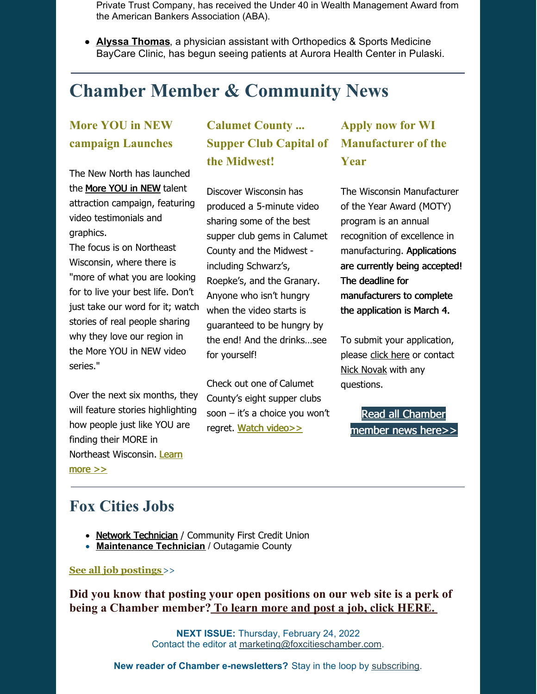Private Trust Company, has received the Under 40 in Wealth Management Award from the American Bankers Association (ABA).

**Alyssa [Thomas](https://foxcitieschamber.com/news/2022/02/17/member-news/orthopedics-sports-medicine-baycare-clinic-expands-to-pulaski/)**, a physician assistant with Orthopedics & Sports Medicine BayCare Clinic, has begun seeing patients at Aurora Health Center in Pulaski.

# **Chamber Member & Community News**

#### **More YOU in NEW campaign Launches**

The New North has launched the [More](https://r20.rs6.net/tn.jsp?f=001sc-EjWJwfTGQcXQZ6Ph01WA1h76dZ8_3ZnE4KHwuJmcrbFDarelxEUS_AFOFcacOyp8_vN642dAcyeNjrUIFKmmJmvSWi8KYWPYg-Cazlcnl1EqbnSlDkrFNQmzIO1NdY7ITLTU1efkp2rPphDc84huGj442liguPUO-IrCA2w1ngPyXTNlrRDeTHbC8Ov-qEHScR4QWgEQo9FjrNkX9jA==&c=T7Ej4oiLmCs3I717TGZb9Mp_RttS6acAhs8xFIUgpObKPl7N7xJbow==&ch=Nj1ydcoBw1YJ5cT1UlpUDxU-YIsvqLs_7xKUqJlRAevdLaeca6tsXQ==) YOU in NEW talent attraction campaign, featuring video testimonials and graphics.

The focus is on Northeast Wisconsin, where there is "more of what you are looking for to live your best life. Don't just take our word for it; watch stories of real people sharing why they love our region in the More YOU in NEW video series."

Over the next six months, they will feature stories highlighting how people just like YOU are finding their MORE in Northeast [Wisconsin.](https://www.thenewnorth.com/living-in-the-new-north/more-you-in-new/) Learn more >>

#### **Calumet County ... Supper Club Capital of the Midwest!**

Discover [Wisconsin](https://r20.rs6.net/tn.jsp?f=001sc-EjWJwfTGQcXQZ6Ph01WA1h76dZ8_3ZnE4KHwuJmcrbFDarelxEUS_AFOFcacOC9tiWta3rauOCLtte_9P_xdxR7iWqG0tHsto_YJ224aq4vhgQ-vRnJa7aoD2QJRqWo9CYBb7joLh_AhcWyp5xQ==&c=T7Ej4oiLmCs3I717TGZb9Mp_RttS6acAhs8xFIUgpObKPl7N7xJbow==&ch=Nj1ydcoBw1YJ5cT1UlpUDxU-YIsvqLs_7xKUqJlRAevdLaeca6tsXQ==) has produced a [5-minute](https://r20.rs6.net/tn.jsp?f=001sc-EjWJwfTGQcXQZ6Ph01WA1h76dZ8_3ZnE4KHwuJmcrbFDarelxEUS_AFOFcacOUHRsqz7VSq3meyhH1KvlulG_cm4nT7h2PNj570_Vje3D9ZsUUn7KhDnsxioxu309f-Idr2yhXRnXNVMs5rsq-0OOJA2o5UVaxAbxHJQBSEQaB_fsN-F3o0DfM7NpxlfgTLSDG3a69XQ=&c=T7Ej4oiLmCs3I717TGZb9Mp_RttS6acAhs8xFIUgpObKPl7N7xJbow==&ch=Nj1ydcoBw1YJ5cT1UlpUDxU-YIsvqLs_7xKUqJlRAevdLaeca6tsXQ==) video sharing some of the best supper club gems in Calumet County and the Midwest including Schwarz's, Roepke's, and the Granary. Anyone who isn't hungry when the video starts is guaranteed to be hungry by the end! And the drinks…see for yourself!

Check out one of [Calumet](https://r20.rs6.net/tn.jsp?f=001sc-EjWJwfTGQcXQZ6Ph01WA1h76dZ8_3ZnE4KHwuJmcrbFDarelxEUS_AFOFcacO8qGy9BR7dkhIaMGjqEMrmVu2jZF_uqX82Caquay4oezSWaHSyRybHygA_O12mXku6FJePl73OuXEztXf-L36rSC0MEhs-QTG7WkudLow0JA=&c=T7Ej4oiLmCs3I717TGZb9Mp_RttS6acAhs8xFIUgpObKPl7N7xJbow==&ch=Nj1ydcoBw1YJ5cT1UlpUDxU-YIsvqLs_7xKUqJlRAevdLaeca6tsXQ==) County's eight supper clubs soon – it's a choice you won't regret. Watch [video>>](https://youtu.be/Ubo3fewQha8)

### **Apply now for WI Manufacturer of the Year**

The Wisconsin Manufacturer of the Year Award (MOTY) program is an annual recognition of excellence in manufacturing. Applications are currently being accepted! The deadline for manufacturers to complete the application is March 4.

To submit your application, please click [here](https://www.wimoty.com/award-info/application/) or contact Nick [Novak](mailto:nnovak@wmc.org) with any questions.

Read all [Chamber](https://foxcitieschamber.com/news/1/) member news here>>

### **Fox Cities Jobs**

- Network [Technician](http://foxcitieschamber.chambermaster.com/jobs/info/information-technology-network-technician-4890) / Community First Credit Union
- **[Maintenance](http://foxcitieschamber.chambermaster.com/jobs/info/technicians-maintenance-technician-for-outagamie-county-4895) Technician** / Outagamie County

#### **See all job [postings](http://foxcitieschamber.chambermaster.com/jobs?o=Date&d=1)**>>

**Did you know that posting your open positions on our web site is a perk of being a [Chamber](https://foxcitieschamber.com/membertoolkit) member? To learn more and post a job, click [HERE.](https://foxcitieschamber.com/membertoolkit)**

> **NEXT ISSUE:** Thursday, February 24, 2022 Contact the editor at [marketing@foxcitieschamber.com](mailto:marketing@foxcitieschamber.com).

**New reader of Chamber e-newsletters?** Stay in the loop by [subscribing](https://visitor.r20.constantcontact.com/manage/optin?v=001Md2lQvja6UBFObVEYNxvr4MtoHWefyxZujNN0kPMNHml5ycauSheM3_0ZkD2bxa2fURQ9pulLZ61WyBn1e1Vf8fho3fd6__2tb43e9oIDp8%3D).